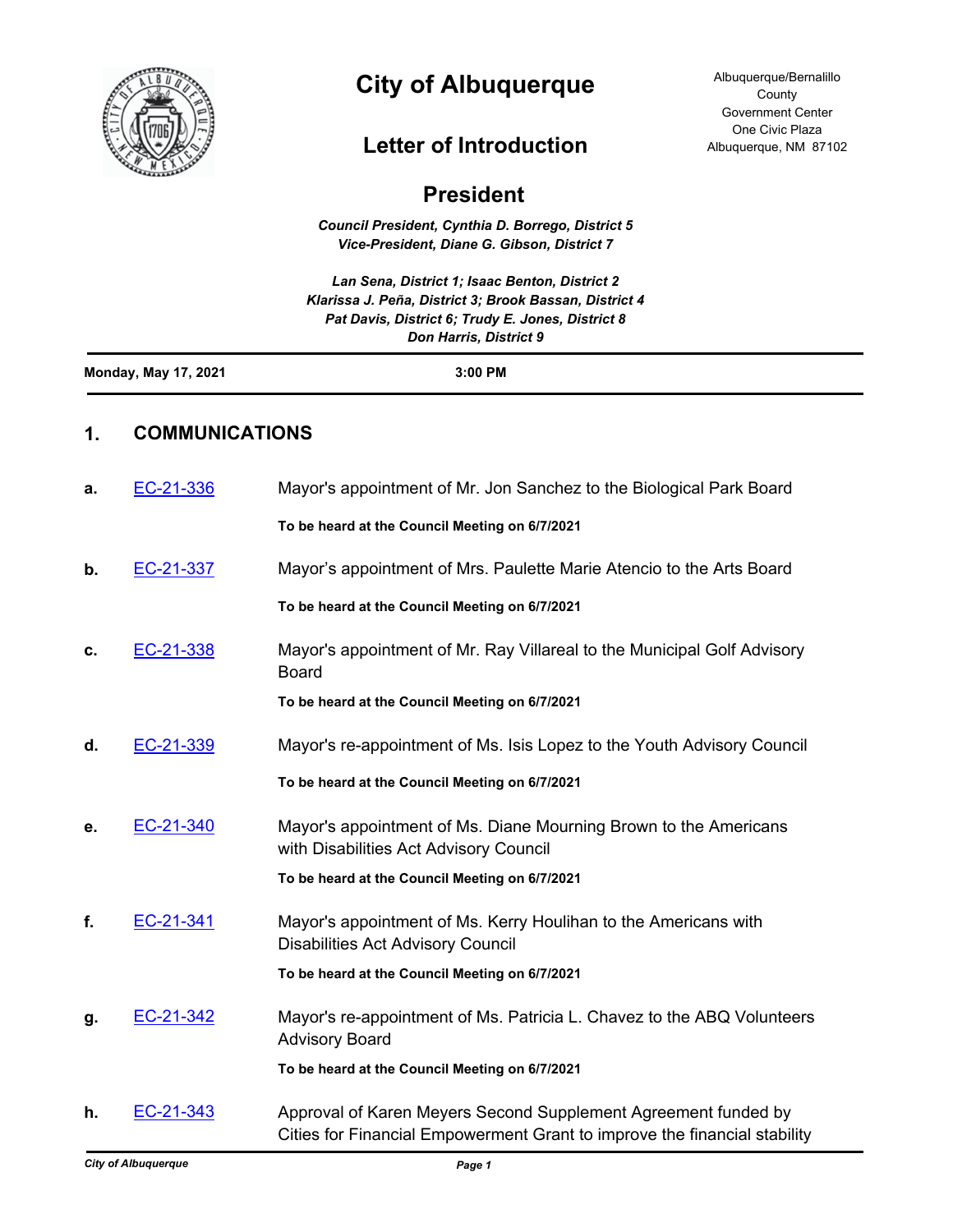

# **City of Albuquerque**

## **Letter of Introduction**

| <b>President</b>            |                       |                                                                                                                                                                                         |
|-----------------------------|-----------------------|-----------------------------------------------------------------------------------------------------------------------------------------------------------------------------------------|
|                             |                       | Council President, Cynthia D. Borrego, District 5<br>Vice-President, Diane G. Gibson, District 7                                                                                        |
|                             |                       | Lan Sena, District 1; Isaac Benton, District 2<br>Klarissa J. Peña, District 3; Brook Bassan, District 4<br>Pat Davis, District 6; Trudy E. Jones, District 8<br>Don Harris, District 9 |
| <b>Monday, May 17, 2021</b> |                       | 3:00 PM                                                                                                                                                                                 |
| 1.                          | <b>COMMUNICATIONS</b> |                                                                                                                                                                                         |
| а.                          | EC-21-336             | Mayor's appointment of Mr. Jon Sanchez to the Biological Park Board                                                                                                                     |
|                             |                       | To be heard at the Council Meeting on 6/7/2021                                                                                                                                          |
| b.                          | EC-21-337             | Mayor's appointment of Mrs. Paulette Marie Atencio to the Arts Board                                                                                                                    |
|                             |                       | To be heard at the Council Meeting on 6/7/2021                                                                                                                                          |
| c.                          | EC-21-338             | Mayor's appointment of Mr. Ray Villareal to the Municipal Golf Advisory<br><b>Board</b>                                                                                                 |
|                             |                       | To be heard at the Council Meeting on 6/7/2021                                                                                                                                          |
| d.                          | EC-21-339             | Mayor's re-appointment of Ms. Isis Lopez to the Youth Advisory Council                                                                                                                  |
|                             |                       | To be heard at the Council Meeting on 6/7/2021                                                                                                                                          |
| е.                          | EC-21-340             | Mayor's appointment of Ms. Diane Mourning Brown to the Americans<br>with Disabilities Act Advisory Council                                                                              |
|                             |                       | To be heard at the Council Meeting on 6/7/2021                                                                                                                                          |
| f.                          | EC-21-341             | Mayor's appointment of Ms. Kerry Houlihan to the Americans with<br><b>Disabilities Act Advisory Council</b>                                                                             |
|                             |                       | To be heard at the Council Meeting on 6/7/2021                                                                                                                                          |
| g.                          | EC-21-342             | Mayor's re-appointment of Ms. Patricia L. Chavez to the ABQ Volunteers<br><b>Advisory Board</b>                                                                                         |
|                             |                       | To be heard at the Council Meeting on 6/7/2021                                                                                                                                          |
| h.                          | EC-21-343             | Approval of Karen Meyers Second Supplement Agreement funded by<br>Cities for Financial Empowerment Grant to improve the financial stability                                             |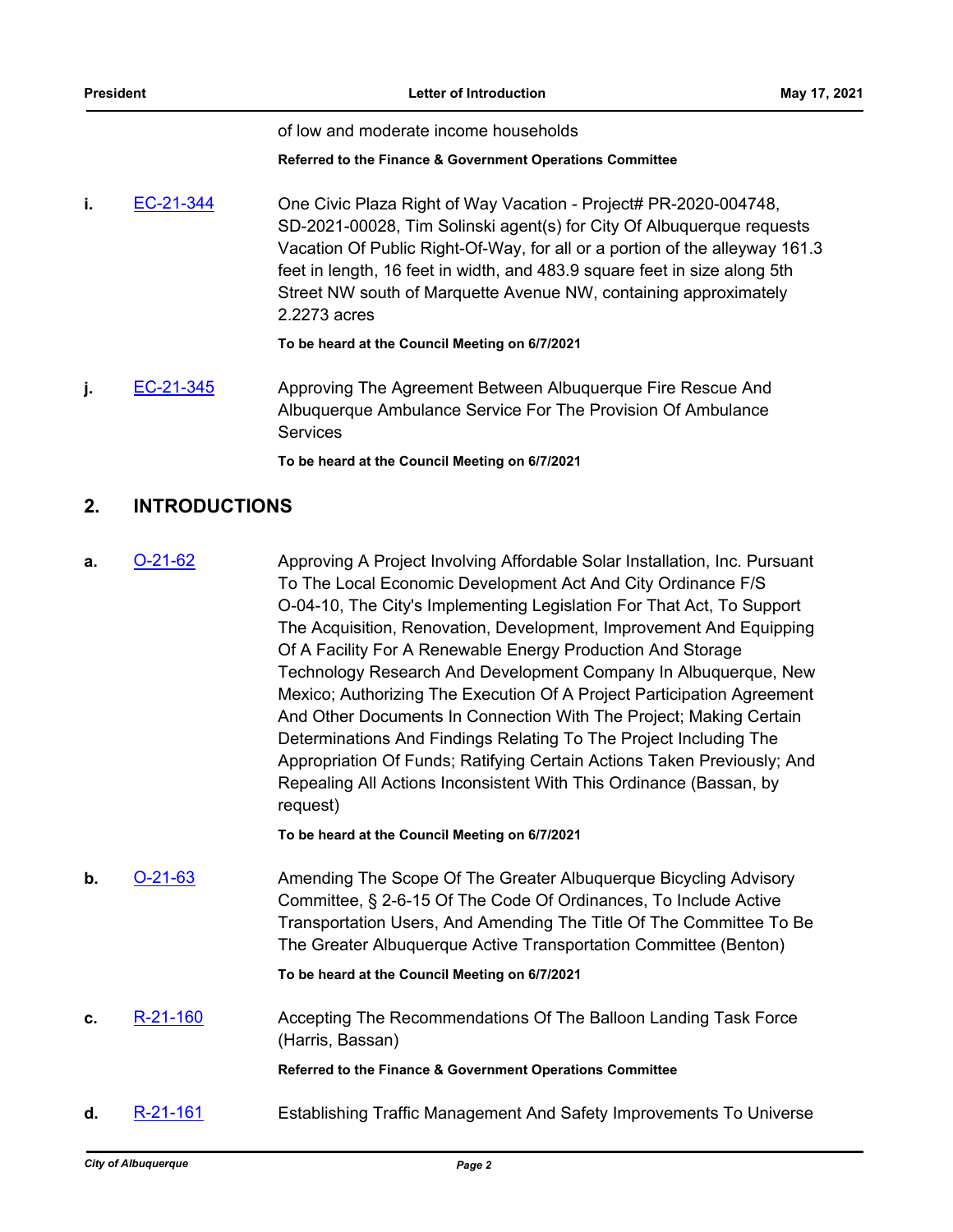of low and moderate income households

#### **Referred to the Finance & Government Operations Committee**

**i.** [EC-21-344](http://cabq.legistar.com/gateway.aspx?m=l&id=/matter.aspx?key=12474) One Civic Plaza Right of Way Vacation - Project# PR-2020-004748, SD-2021-00028, Tim Solinski agent(s) for City Of Albuquerque requests Vacation Of Public Right-Of-Way, for all or a portion of the alleyway 161.3 feet in length, 16 feet in width, and 483.9 square feet in size along 5th Street NW south of Marquette Avenue NW, containing approximately 2.2273 acres

#### **To be heard at the Council Meeting on 6/7/2021**

**j.** [EC-21-345](http://cabq.legistar.com/gateway.aspx?m=l&id=/matter.aspx?key=12475) Approving The Agreement Between Albuquerque Fire Rescue And Albuquerque Ambulance Service For The Provision Of Ambulance **Services** 

**To be heard at the Council Meeting on 6/7/2021**

### **2. INTRODUCTIONS**

**a.** [O-21-62](http://cabq.legistar.com/gateway.aspx?m=l&id=/matter.aspx?key=12476) Approving A Project Involving Affordable Solar Installation, Inc. Pursuant To The Local Economic Development Act And City Ordinance F/S O-04-10, The City's Implementing Legislation For That Act, To Support The Acquisition, Renovation, Development, Improvement And Equipping Of A Facility For A Renewable Energy Production And Storage Technology Research And Development Company In Albuquerque, New Mexico; Authorizing The Execution Of A Project Participation Agreement And Other Documents In Connection With The Project; Making Certain Determinations And Findings Relating To The Project Including The Appropriation Of Funds; Ratifying Certain Actions Taken Previously; And Repealing All Actions Inconsistent With This Ordinance (Bassan, by request)

**To be heard at the Council Meeting on 6/7/2021**

**b. [O-21-63](http://cabq.legistar.com/gateway.aspx?m=l&id=/matter.aspx?key=12478)** Amending The Scope Of The Greater Albuquerque Bicycling Advisory Committee, § 2-6-15 Of The Code Of Ordinances, To Include Active Transportation Users, And Amending The Title Of The Committee To Be The Greater Albuquerque Active Transportation Committee (Benton)

**To be heard at the Council Meeting on 6/7/2021**

**c.** [R-21-160](http://cabq.legistar.com/gateway.aspx?m=l&id=/matter.aspx?key=12472) Accepting The Recommendations Of The Balloon Landing Task Force (Harris, Bassan)

**Referred to the Finance & Government Operations Committee**

**d.** [R-21-161](http://cabq.legistar.com/gateway.aspx?m=l&id=/matter.aspx?key=12477) **Establishing Traffic Management And Safety Improvements To Universe**